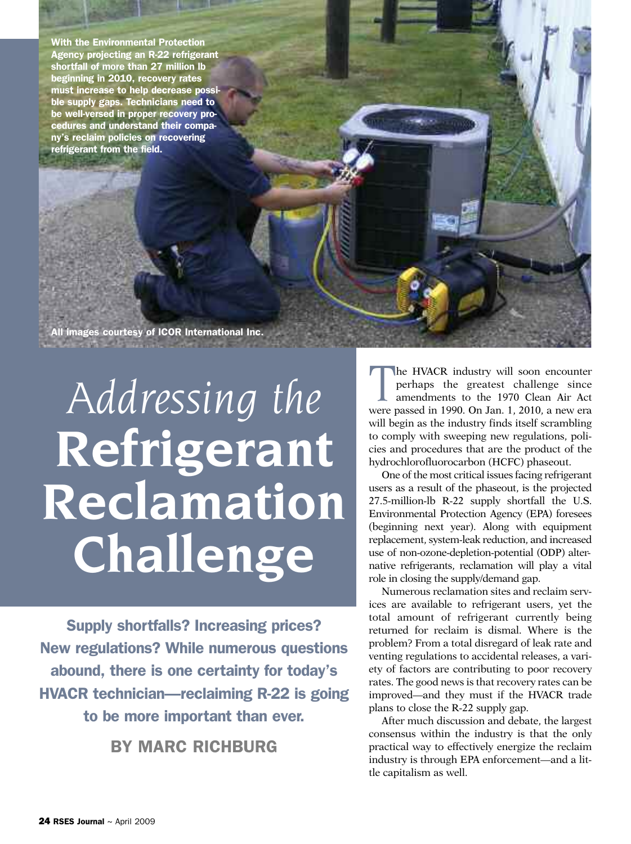**With the Environmental Protection Agency projecting an R-22 refrigerant shortfall of more than 27 million lb beginning in 2010, recovery rates must increase to help decrease possible supply gaps. Technicians need to be well-versed in proper recovery procedures and understand their company's reclaim policies on recovering refrigerant from the field.**

**All images courtesy of ICOR International Inc.**

## *Addressing the* **Refrigerant Reclamation Challenge**

**Supply shortfalls? Increasing prices? New regulations? While numerous questions abound, there is one certainty for today's HVACR technician—reclaiming R-22 is going to be more important than ever.**

**BY MARC RICHBURG**

The HVACR industry will soon encounter<br>
perhaps the greatest challenge since<br>
amendments to the 1970 Clean Air Act<br>
were passed in 1990 Op Jan 1,2010, a new era perhaps the greatest challenge since were passed in 1990. On Jan. 1, 2010, a new era will begin as the industry finds itself scrambling to comply with sweeping new regulations, policies and procedures that are the product of the hydrochlorofluorocarbon (HCFC) phaseout.

One of the most critical issues facing refrigerant users as a result of the phaseout, is the projected 27.5-million-lb R-22 supply shortfall the U.S. Environmental Protection Agency (EPA) foresees (beginning next year). Along with equipment replacement, system-leak reduction, and increased use of non-ozone-depletion-potential (ODP) alternative refrigerants, reclamation will play a vital role in closing the supply/demand gap.

Numerous reclamation sites and reclaim services are available to refrigerant users, yet the total amount of refrigerant currently being returned for reclaim is dismal. Where is the problem? From a total disregard of leak rate and venting regulations to accidental releases, a variety of factors are contributing to poor recovery rates. The good news is that recovery rates can be improved—and they must if the HVACR trade plans to close the R-22 supply gap.

After much discussion and debate, the largest consensus within the industry is that the only practical way to effectively energize the reclaim industry is through EPA enforcement—and a little capitalism as well.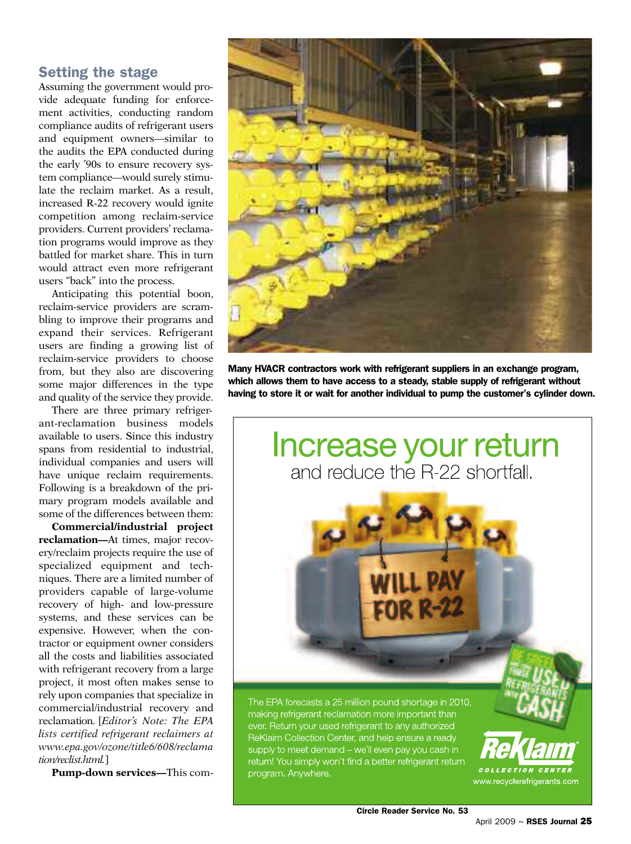## **Setting the stage**

Assuming the government would provide adequate funding for enforcement activities, conducting random compliance audits of refrigerant users and equipment owners—similar to the audits the EPA conducted during the early '90s to ensure recovery system compliance—would surely stimulate the reclaim market. As a result, increased R-22 recovery would ignite competition among reclaim-service providers. Current providers' reclamation programs would improve as they battled for market share. This in turn would attract even more refrigerant users "back" into the process.

Anticipating this potential boon, reclaim-service providers are scrambling to improve their programs and expand their services. Refrigerant users are finding a growing list of reclaim-service providers to choose from, but they also are discovering some major differences in the type and quality of the service they provide.

There are three primary refrigerant-reclamation business models available to users. Since this industry spans from residential to industrial, individual companies and users will have unique reclaim requirements. Following is a breakdown of the primary program models available and some of the differences between them:

**Commercial/industrial project reclamation—**At times, major recovery/reclaim projects require the use of specialized equipment and techniques. There are a limited number of providers capable of large-volume recovery of high- and low-pressure systems, and these services can be expensive. However, when the contractor or equipment owner considers all the costs and liabilities associated with refrigerant recovery from a large project, it most often makes sense to rely upon companies that specialize in commercial/industrial recovery and reclamation. [*Editor's Note: The EPA lists certified refrigerant reclaimers at www.epa.gov/ozone/title6/608/reclama tion/reclist.html.*]

**Pump-down services—**This com-



**Many HVACR contractors work with refrigerant suppliers in an exchange program, which allows them to have access to a steady, stable supply of refrigerant without having to store it or wait for another individual to pump the customer's cylinder down.**

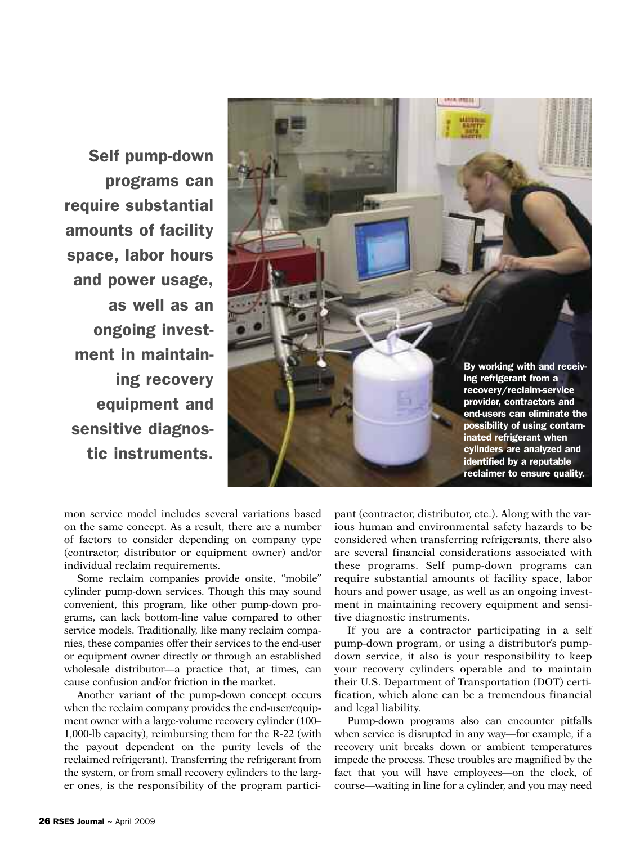**Self pump-down programs can require substantial amounts of facility space, labor hours and power usage, as well as an ongoing investment in maintaining recovery equipment and sensitive diagnostic instruments.**



mon service model includes several variations based on the same concept. As a result, there are a number of factors to consider depending on company type (contractor, distributor or equipment owner) and/or individual reclaim requirements.

Some reclaim companies provide onsite, "mobile" cylinder pump-down services. Though this may sound convenient, this program, like other pump-down programs, can lack bottom-line value compared to other service models. Traditionally, like many reclaim companies, these companies offer their services to the end-user or equipment owner directly or through an established wholesale distributor—a practice that, at times, can cause confusion and/or friction in the market.

Another variant of the pump-down concept occurs when the reclaim company provides the end-user/equipment owner with a large-volume recovery cylinder (100– 1,000-lb capacity), reimbursing them for the R-22 (with the payout dependent on the purity levels of the reclaimed refrigerant). Transferring the refrigerant from the system, or from small recovery cylinders to the larger ones, is the responsibility of the program participant (contractor, distributor, etc.). Along with the various human and environmental safety hazards to be considered when transferring refrigerants, there also are several financial considerations associated with these programs. Self pump-down programs can require substantial amounts of facility space, labor hours and power usage, as well as an ongoing investment in maintaining recovery equipment and sensitive diagnostic instruments.

If you are a contractor participating in a self pump-down program, or using a distributor's pumpdown service, it also is your responsibility to keep your recovery cylinders operable and to maintain their U.S. Department of Transportation (DOT) certification, which alone can be a tremendous financial and legal liability.

Pump-down programs also can encounter pitfalls when service is disrupted in any way—for example, if a recovery unit breaks down or ambient temperatures impede the process. These troubles are magnified by the fact that you will have employees—on the clock, of course—waiting in line for a cylinder, and you may need